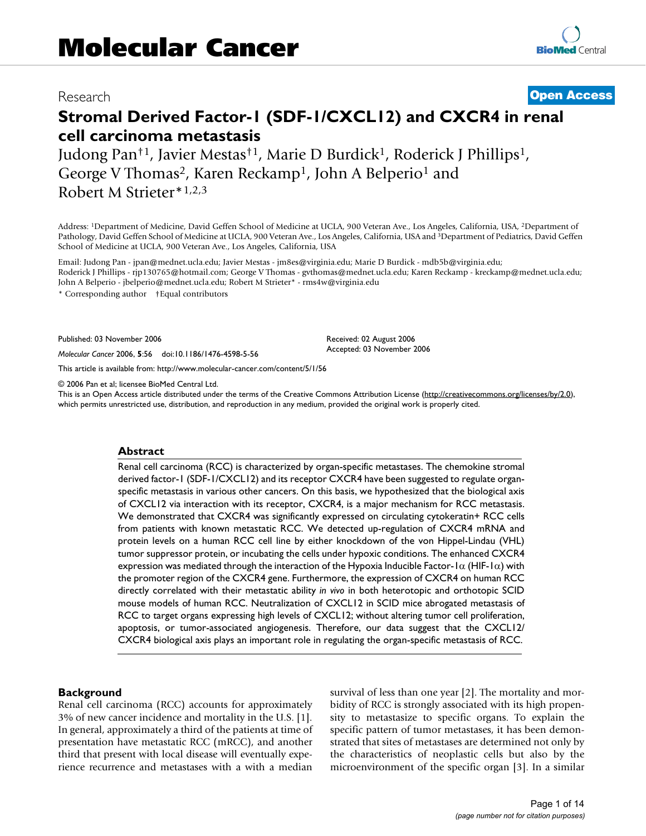# Research **[Open Access](http://www.biomedcentral.com/info/about/charter/)**

# **Stromal Derived Factor-1 (SDF-1/CXCL12) and CXCR4 in renal cell carcinoma metastasis**

Judong Pan†1, Javier Mestas†1, Marie D Burdick1, Roderick J Phillips1, George V Thomas<sup>2</sup>, Karen Reckamp<sup>1</sup>, John A Belperio<sup>1</sup> and Robert M Strieter\*1,2,3

Address: 1Department of Medicine, David Geffen School of Medicine at UCLA, 900 Veteran Ave., Los Angeles, California, USA, 2Department of Pathology, David Geffen School of Medicine at UCLA, 900 Veteran Ave., Los Angeles, California, USA and 3Department of Pediatrics, David Geffen School of Medicine at UCLA, 900 Veteran Ave., Los Angeles, California, USA

Email: Judong Pan - jpan@mednet.ucla.edu; Javier Mestas - jm8es@virginia.edu; Marie D Burdick - mdb5b@virginia.edu; Roderick J Phillips - rjp130765@hotmail.com; George V Thomas - gvthomas@mednet.ucla.edu; Karen Reckamp - kreckamp@mednet.ucla.edu; John A Belperio - jbelperio@mednet.ucla.edu; Robert M Strieter\* - rms4w@virginia.edu

> Received: 02 August 2006 Accepted: 03 November 2006

\* Corresponding author †Equal contributors

Published: 03 November 2006

*Molecular Cancer* 2006, **5**:56 doi:10.1186/1476-4598-5-56

[This article is available from: http://www.molecular-cancer.com/content/5/1/56](http://www.molecular-cancer.com/content/5/1/56)

© 2006 Pan et al; licensee BioMed Central Ltd.

This is an Open Access article distributed under the terms of the Creative Commons Attribution License [\(http://creativecommons.org/licenses/by/2.0\)](http://creativecommons.org/licenses/by/2.0), which permits unrestricted use, distribution, and reproduction in any medium, provided the original work is properly cited.

#### **Abstract**

Renal cell carcinoma (RCC) is characterized by organ-specific metastases. The chemokine stromal derived factor-1 (SDF-1/CXCL12) and its receptor CXCR4 have been suggested to regulate organspecific metastasis in various other cancers. On this basis, we hypothesized that the biological axis of CXCL12 via interaction with its receptor, CXCR4, is a major mechanism for RCC metastasis. We demonstrated that CXCR4 was significantly expressed on circulating cytokeratin+ RCC cells from patients with known metastatic RCC. We detected up-regulation of CXCR4 mRNA and protein levels on a human RCC cell line by either knockdown of the von Hippel-Lindau (VHL) tumor suppressor protein, or incubating the cells under hypoxic conditions. The enhanced CXCR4 expression was mediated through the interaction of the Hypoxia Inducible Factor-1 $\alpha$  (HIF-1 $\alpha$ ) with the promoter region of the CXCR4 gene. Furthermore, the expression of CXCR4 on human RCC directly correlated with their metastatic ability *in vivo* in both heterotopic and orthotopic SCID mouse models of human RCC. Neutralization of CXCL12 in SCID mice abrogated metastasis of RCC to target organs expressing high levels of CXCL12; without altering tumor cell proliferation, apoptosis, or tumor-associated angiogenesis. Therefore, our data suggest that the CXCL12/ CXCR4 biological axis plays an important role in regulating the organ-specific metastasis of RCC.

#### **Background**

Renal cell carcinoma (RCC) accounts for approximately 3% of new cancer incidence and mortality in the U.S. [1]. In general, approximately a third of the patients at time of presentation have metastatic RCC (mRCC), and another third that present with local disease will eventually experience recurrence and metastases with a with a median survival of less than one year [2]. The mortality and morbidity of RCC is strongly associated with its high propensity to metastasize to specific organs. To explain the specific pattern of tumor metastases, it has been demonstrated that sites of metastases are determined not only by the characteristics of neoplastic cells but also by the microenvironment of the specific organ [3]. In a similar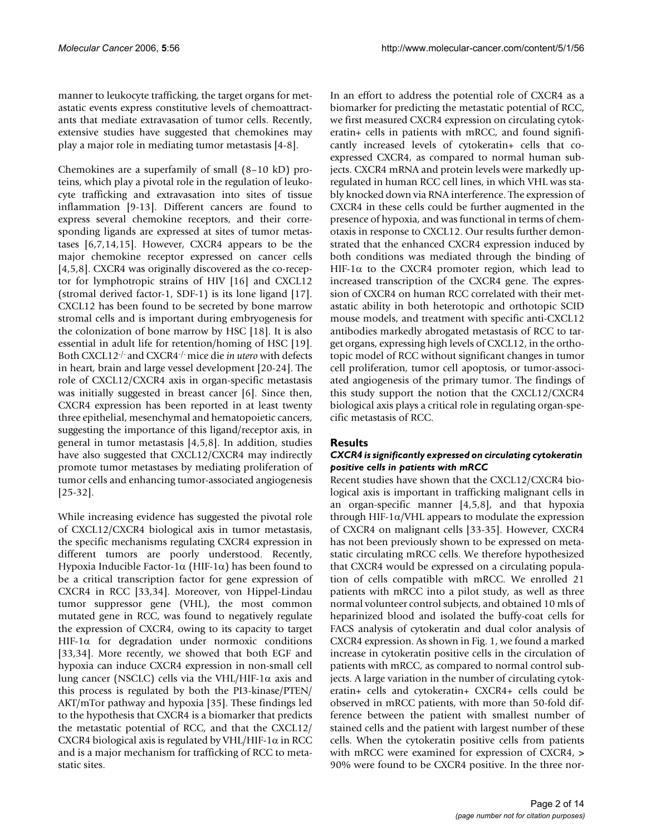manner to leukocyte trafficking, the target organs for metastatic events express constitutive levels of chemoattractants that mediate extravasation of tumor cells. Recently, extensive studies have suggested that chemokines may play a major role in mediating tumor metastasis [4-8].

Chemokines are a superfamily of small (8–10 kD) proteins, which play a pivotal role in the regulation of leukocyte trafficking and extravasation into sites of tissue inflammation [9-13]. Different cancers are found to express several chemokine receptors, and their corresponding ligands are expressed at sites of tumor metastases [6,7,14,15]. However, CXCR4 appears to be the major chemokine receptor expressed on cancer cells [4,5,8]. CXCR4 was originally discovered as the co-receptor for lymphotropic strains of HIV [16] and CXCL12 (stromal derived factor-1, SDF-1) is its lone ligand [17]. CXCL12 has been found to be secreted by bone marrow stromal cells and is important during embryogenesis for the colonization of bone marrow by HSC [18]. It is also essential in adult life for retention/homing of HSC [19]. Both CXCL12-/- and CXCR4-/- mice die *in utero* with defects in heart, brain and large vessel development [20-24]. The role of CXCL12/CXCR4 axis in organ-specific metastasis was initially suggested in breast cancer [6]. Since then, CXCR4 expression has been reported in at least twenty three epithelial, mesenchymal and hematopoietic cancers, suggesting the importance of this ligand/receptor axis, in general in tumor metastasis [4,5,8]. In addition, studies have also suggested that CXCL12/CXCR4 may indirectly promote tumor metastases by mediating proliferation of tumor cells and enhancing tumor-associated angiogenesis [25-32].

While increasing evidence has suggested the pivotal role of CXCL12/CXCR4 biological axis in tumor metastasis, the specific mechanisms regulating CXCR4 expression in different tumors are poorly understood. Recently, Hypoxia Inducible Factor-1α (HIF-1α) has been found to be a critical transcription factor for gene expression of CXCR4 in RCC [33,34]. Moreover, von Hippel-Lindau tumor suppressor gene (VHL), the most common mutated gene in RCC, was found to negatively regulate the expression of CXCR4, owing to its capacity to target HIF-1 $\alpha$  for degradation under normoxic conditions [33,34]. More recently, we showed that both EGF and hypoxia can induce CXCR4 expression in non-small cell lung cancer (NSCLC) cells via the VHL/HIF-1 $\alpha$  axis and this process is regulated by both the PI3-kinase/PTEN/ AKT/mTor pathway and hypoxia [35]. These findings led to the hypothesis that CXCR4 is a biomarker that predicts the metastatic potential of RCC, and that the CXCL12/ CXCR4 biological axis is regulated by VHL/HIF-1 $\alpha$  in RCC and is a major mechanism for trafficking of RCC to metastatic sites.

In an effort to address the potential role of CXCR4 as a biomarker for predicting the metastatic potential of RCC, we first measured CXCR4 expression on circulating cytokeratin+ cells in patients with mRCC, and found significantly increased levels of cytokeratin+ cells that coexpressed CXCR4, as compared to normal human subjects. CXCR4 mRNA and protein levels were markedly upregulated in human RCC cell lines, in which VHL was stably knocked down via RNA interference. The expression of CXCR4 in these cells could be further augmented in the presence of hypoxia, and was functional in terms of chemotaxis in response to CXCL12. Our results further demonstrated that the enhanced CXCR4 expression induced by both conditions was mediated through the binding of HIF-1 $\alpha$  to the CXCR4 promoter region, which lead to increased transcription of the CXCR4 gene. The expression of CXCR4 on human RCC correlated with their metastatic ability in both heterotopic and orthotopic SCID mouse models, and treatment with specific anti-CXCL12 antibodies markedly abrogated metastasis of RCC to target organs, expressing high levels of CXCL12, in the orthotopic model of RCC without significant changes in tumor cell proliferation, tumor cell apoptosis, or tumor-associated angiogenesis of the primary tumor. The findings of this study support the notion that the CXCL12/CXCR4 biological axis plays a critical role in regulating organ-specific metastasis of RCC.

# **Results**

#### *CXCR4 is significantly expressed on circulating cytokeratin positive cells in patients with mRCC*

Recent studies have shown that the CXCL12/CXCR4 biological axis is important in trafficking malignant cells in an organ-specific manner [4,5,8], and that hypoxia through HIF-1 $\alpha$ /VHL appears to modulate the expression of CXCR4 on malignant cells [33-35]. However, CXCR4 has not been previously shown to be expressed on metastatic circulating mRCC cells. We therefore hypothesized that CXCR4 would be expressed on a circulating population of cells compatible with mRCC. We enrolled 21 patients with mRCC into a pilot study, as well as three normal volunteer control subjects, and obtained 10 mls of heparinized blood and isolated the buffy-coat cells for FACS analysis of cytokeratin and dual color analysis of CXCR4 expression. As shown in Fig. 1, we found a marked increase in cytokeratin positive cells in the circulation of patients with mRCC, as compared to normal control subjects. A large variation in the number of circulating cytokeratin+ cells and cytokeratin+ CXCR4+ cells could be observed in mRCC patients, with more than 50-fold difference between the patient with smallest number of stained cells and the patient with largest number of these cells. When the cytokeratin positive cells from patients with mRCC were examined for expression of CXCR4, > 90% were found to be CXCR4 positive. In the three nor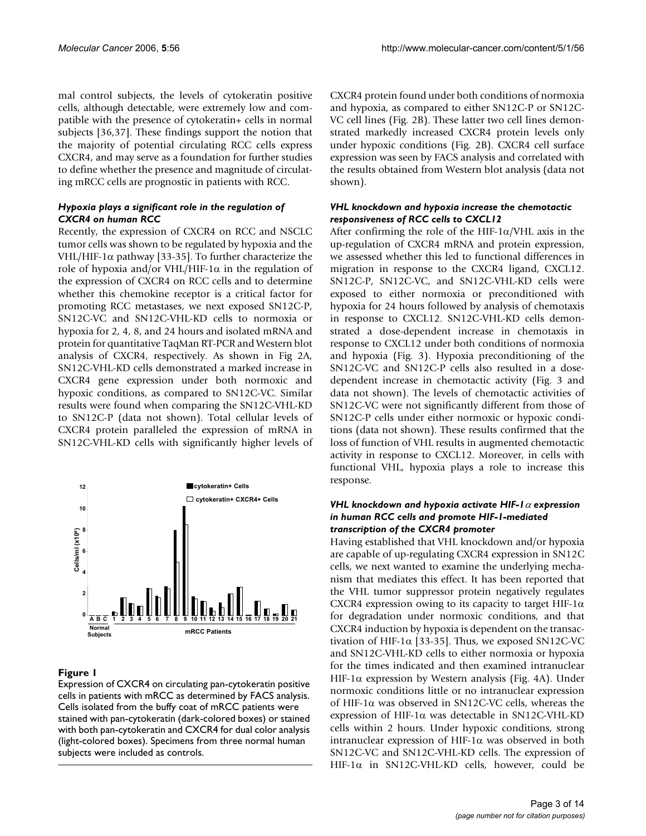mal control subjects, the levels of cytokeratin positive cells, although detectable, were extremely low and compatible with the presence of cytokeratin+ cells in normal subjects [36,37]. These findings support the notion that the majority of potential circulating RCC cells express CXCR4, and may serve as a foundation for further studies to define whether the presence and magnitude of circulating mRCC cells are prognostic in patients with RCC.

# *Hypoxia plays a significant role in the regulation of CXCR4 on human RCC*

Recently, the expression of CXCR4 on RCC and NSCLC tumor cells was shown to be regulated by hypoxia and the VHL/HIF-1α pathway [33-35]. To further characterize the role of hypoxia and/or VHL/HIF-1α in the regulation of the expression of CXCR4 on RCC cells and to determine whether this chemokine receptor is a critical factor for promoting RCC metastases, we next exposed SN12C-P, SN12C-VC and SN12C-VHL-KD cells to normoxia or hypoxia for 2, 4, 8, and 24 hours and isolated mRNA and protein for quantitative TaqMan RT-PCR and Western blot analysis of CXCR4, respectively. As shown in Fig 2A, SN12C-VHL-KD cells demonstrated a marked increase in CXCR4 gene expression under both normoxic and hypoxic conditions, as compared to SN12C-VC. Similar results were found when comparing the SN12C-VHL-KD to SN12C-P (data not shown). Total cellular levels of CXCR4 protein paralleled the expression of mRNA in SN12C-VHL-KD cells with significantly higher levels of



# Figure 1

Expression of CXCR4 on circulating pan-cytokeratin positive cells in patients with mRCC as determined by FACS analysis. Cells isolated from the buffy coat of mRCC patients were stained with pan-cytokeratin (dark-colored boxes) or stained with both pan-cytokeratin and CXCR4 for dual color analysis (light-colored boxes). Specimens from three normal human subjects were included as controls.

CXCR4 protein found under both conditions of normoxia and hypoxia, as compared to either SN12C-P or SN12C-VC cell lines (Fig. 2B). These latter two cell lines demonstrated markedly increased CXCR4 protein levels only under hypoxic conditions (Fig. 2B). CXCR4 cell surface expression was seen by FACS analysis and correlated with the results obtained from Western blot analysis (data not shown).

# *VHL knockdown and hypoxia increase the chemotactic responsiveness of RCC cells to CXCL12*

After confirming the role of the HIF-1 $\alpha$ /VHL axis in the up-regulation of CXCR4 mRNA and protein expression, we assessed whether this led to functional differences in migration in response to the CXCR4 ligand, CXCL12. SN12C-P, SN12C-VC, and SN12C-VHL-KD cells were exposed to either normoxia or preconditioned with hypoxia for 24 hours followed by analysis of chemotaxis in response to CXCL12. SN12C-VHL-KD cells demonstrated a dose-dependent increase in chemotaxis in response to CXCL12 under both conditions of normoxia and hypoxia (Fig. 3). Hypoxia preconditioning of the SN12C-VC and SN12C-P cells also resulted in a dosedependent increase in chemotactic activity (Fig. 3 and data not shown). The levels of chemotactic activities of SN12C-VC were not significantly different from those of SN12C-P cells under either normoxic or hypoxic conditions (data not shown). These results confirmed that the loss of function of VHL results in augmented chemotactic activity in response to CXCL12. Moreover, in cells with functional VHL, hypoxia plays a role to increase this response.

#### *VHL knockdown and hypoxia activate HIF-1*α *expression in human RCC cells and promote HIF-1-mediated transcription of the CXCR4 promoter*

Having established that VHL knockdown and/or hypoxia are capable of up-regulating CXCR4 expression in SN12C cells, we next wanted to examine the underlying mechanism that mediates this effect. It has been reported that the VHL tumor suppressor protein negatively regulates CXCR4 expression owing to its capacity to target HIF-1 $\alpha$ for degradation under normoxic conditions, and that CXCR4 induction by hypoxia is dependent on the transactivation of HIF-1 $\alpha$  [33-35]. Thus, we exposed SN12C-VC and SN12C-VHL-KD cells to either normoxia or hypoxia for the times indicated and then examined intranuclear HIF-1 $\alpha$  expression by Western analysis (Fig. 4A). Under normoxic conditions little or no intranuclear expression of HIF-1α was observed in SN12C-VC cells, whereas the expression of HIF-1α was detectable in SN12C-VHL-KD cells within 2 hours. Under hypoxic conditions, strong intranuclear expression of HIF-1α was observed in both SN12C-VC and SN12C-VHL-KD cells. The expression of HIF-1α in SN12C-VHL-KD cells, however, could be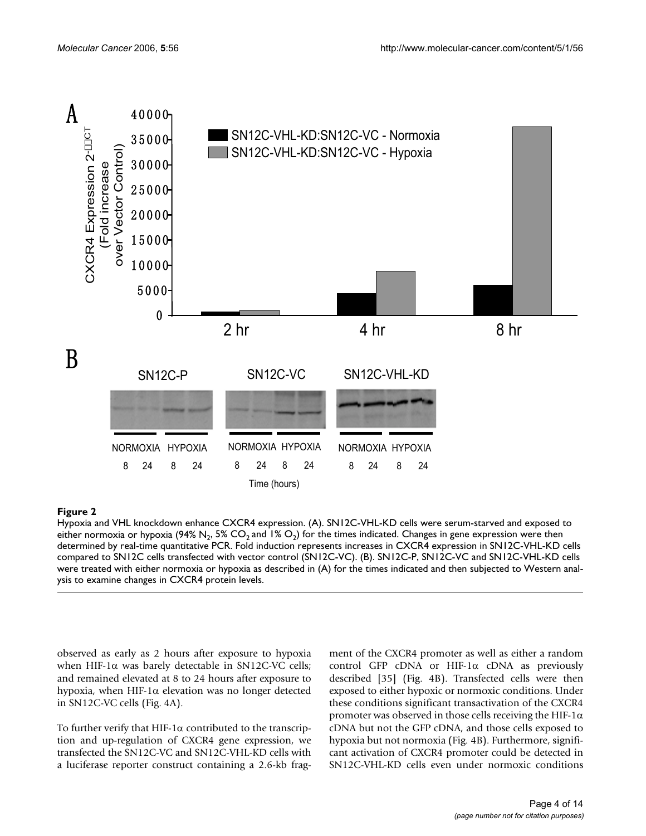

# **Figure 2**

Hypoxia and VHL knockdown enhance CXCR4 expression. (A). SN12C-VHL-KD cells were serum-starved and exposed to either normoxia or hypoxia (94% N<sub>2</sub>, 5% CO<sub>2</sub> and 1% O<sub>2</sub>) for the times indicated. Changes in gene expression were then determined by real-time quantitative PCR. Fold induction represents increases in CXCR4 expression in SN12C-VHL-KD cells compared to SN12C cells transfected with vector control (SN12C-VC). (B). SN12C-P, SN12C-VC and SN12C-VHL-KD cells were treated with either normoxia or hypoxia as described in (A) for the times indicated and then subjected to Western anal-

observed as early as 2 hours after exposure to hypoxia when HIF-1 $\alpha$  was barely detectable in SN12C-VC cells; and remained elevated at 8 to 24 hours after exposure to hypoxia, when HIF-1 $\alpha$  elevation was no longer detected in SN12C-VC cells (Fig. 4A).

To further verify that HIF-1 $\alpha$  contributed to the transcription and up-regulation of CXCR4 gene expression, we transfected the SN12C-VC and SN12C-VHL-KD cells with a luciferase reporter construct containing a 2.6-kb fragment of the CXCR4 promoter as well as either a random control GFP cDNA or HIF-1 $\alpha$  cDNA as previously described [35] (Fig. 4B). Transfected cells were then exposed to either hypoxic or normoxic conditions. Under these conditions significant transactivation of the CXCR4 promoter was observed in those cells receiving the HIF-1 $\alpha$ cDNA but not the GFP cDNA, and those cells exposed to hypoxia but not normoxia (Fig. 4B). Furthermore, significant activation of CXCR4 promoter could be detected in SN12C-VHL-KD cells even under normoxic conditions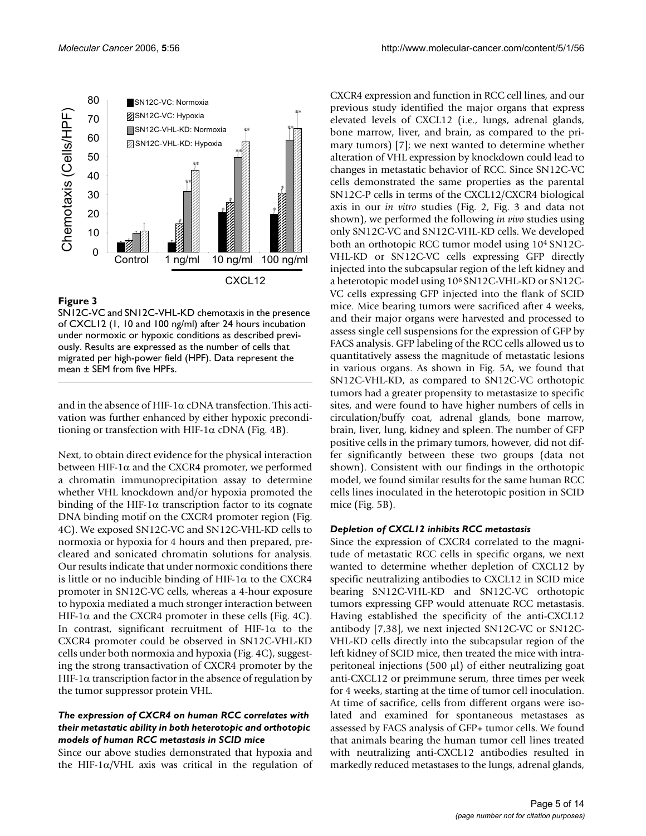

# Figure 3

SN12C-VC and SN12C-VHL-KD chemotaxis in the presence of CXCL12 (1, 10 and 100 ng/ml) after 24 hours incubation under normoxic or hypoxic conditions as described previously. Results are expressed as the number of cells that migrated per high-power field (HPF). Data represent the mean ± SEM from five HPFs.

and in the absence of HIF-1 $\alpha$  cDNA transfection. This activation was further enhanced by either hypoxic preconditioning or transfection with HIF-1 $\alpha$  cDNA (Fig. 4B).

Next, to obtain direct evidence for the physical interaction between HIF-1α and the CXCR4 promoter, we performed a chromatin immunoprecipitation assay to determine whether VHL knockdown and/or hypoxia promoted the binding of the HIF-1 $\alpha$  transcription factor to its cognate DNA binding motif on the CXCR4 promoter region (Fig. 4C). We exposed SN12C-VC and SN12C-VHL-KD cells to normoxia or hypoxia for 4 hours and then prepared, precleared and sonicated chromatin solutions for analysis. Our results indicate that under normoxic conditions there is little or no inducible binding of HIF-1α to the CXCR4 promoter in SN12C-VC cells, whereas a 4-hour exposure to hypoxia mediated a much stronger interaction between HIF-1 $\alpha$  and the CXCR4 promoter in these cells (Fig. 4C). In contrast, significant recruitment of HIF-1 $\alpha$  to the CXCR4 promoter could be observed in SN12C-VHL-KD cells under both normoxia and hypoxia (Fig. 4C), suggesting the strong transactivation of CXCR4 promoter by the HIF-1 $\alpha$  transcription factor in the absence of regulation by the tumor suppressor protein VHL.

#### *The expression of CXCR4 on human RCC correlates with their metastatic ability in both heterotopic and orthotopic models of human RCC metastasis in SCID mice*

Since our above studies demonstrated that hypoxia and the HIF-1 $\alpha$ /VHL axis was critical in the regulation of CXCR4 expression and function in RCC cell lines, and our previous study identified the major organs that express elevated levels of CXCL12 (i.e., lungs, adrenal glands, bone marrow, liver, and brain, as compared to the primary tumors) [7]; we next wanted to determine whether alteration of VHL expression by knockdown could lead to changes in metastatic behavior of RCC. Since SN12C-VC cells demonstrated the same properties as the parental SN12C-P cells in terms of the CXCL12/CXCR4 biological axis in our *in vitro* studies (Fig. 2, Fig. 3 and data not shown), we performed the following *in vivo* studies using only SN12C-VC and SN12C-VHL-KD cells. We developed both an orthotopic RCC tumor model using 104 SN12C-VHL-KD or SN12C-VC cells expressing GFP directly injected into the subcapsular region of the left kidney and a heterotopic model using 106 SN12C-VHL-KD or SN12C-VC cells expressing GFP injected into the flank of SCID mice. Mice bearing tumors were sacrificed after 4 weeks, and their major organs were harvested and processed to assess single cell suspensions for the expression of GFP by FACS analysis. GFP labeling of the RCC cells allowed us to quantitatively assess the magnitude of metastatic lesions in various organs. As shown in Fig. 5A, we found that SN12C-VHL-KD, as compared to SN12C-VC orthotopic tumors had a greater propensity to metastasize to specific sites, and were found to have higher numbers of cells in circulation/buffy coat, adrenal glands, bone marrow, brain, liver, lung, kidney and spleen. The number of GFP positive cells in the primary tumors, however, did not differ significantly between these two groups (data not shown). Consistent with our findings in the orthotopic model, we found similar results for the same human RCC cells lines inoculated in the heterotopic position in SCID mice (Fig. 5B).

#### *Depletion of CXCL12 inhibits RCC metastasis*

Since the expression of CXCR4 correlated to the magnitude of metastatic RCC cells in specific organs, we next wanted to determine whether depletion of CXCL12 by specific neutralizing antibodies to CXCL12 in SCID mice bearing SN12C-VHL-KD and SN12C-VC orthotopic tumors expressing GFP would attenuate RCC metastasis. Having established the specificity of the anti-CXCL12 antibody [7,38], we next injected SN12C-VC or SN12C-VHL-KD cells directly into the subcapsular region of the left kidney of SCID mice, then treated the mice with intraperitoneal injections  $(500 \mu l)$  of either neutralizing goat anti-CXCL12 or preimmune serum, three times per week for 4 weeks, starting at the time of tumor cell inoculation. At time of sacrifice, cells from different organs were isolated and examined for spontaneous metastases as assessed by FACS analysis of GFP+ tumor cells. We found that animals bearing the human tumor cell lines treated with neutralizing anti-CXCL12 antibodies resulted in markedly reduced metastases to the lungs, adrenal glands,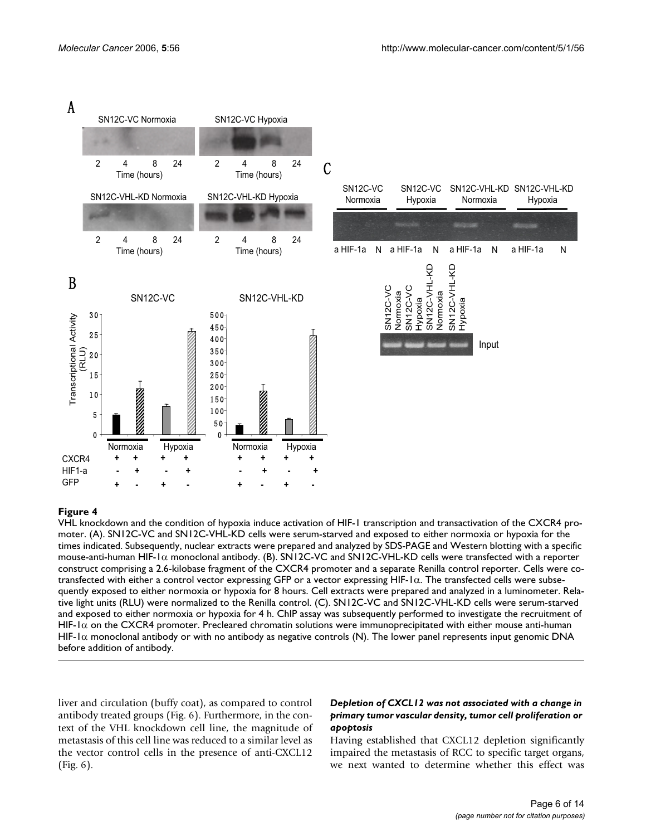

#### moter **Figure 4** VHL knockdown and the condition of hypoxia induce activation of HIF-1 transcription and transactivation of the CXCR4 pro-

VHL knockdown and the condition of hypoxia induce activation of HIF-1 transcription and transactivation of the CXCR4 promoter. (A). SN12C-VC and SN12C-VHL-KD cells were serum-starved and exposed to either normoxia or hypoxia for the times indicated. Subsequently, nuclear extracts were prepared and analyzed by SDS-PAGE and Western blotting with a specific mouse-anti-human HIF-1α monoclonal antibody. (B). SN12C-VC and SN12C-VHL-KD cells were transfected with a reporter construct comprising a 2.6-kilobase fragment of the CXCR4 promoter and a separate Renilla control reporter. Cells were cotransfected with either a control vector expressing GFP or a vector expressing HIF-1α. The transfected cells were subsequently exposed to either normoxia or hypoxia for 8 hours. Cell extracts were prepared and analyzed in a luminometer. Relative light units (RLU) were normalized to the Renilla control. (C). SN12C-VC and SN12C-VHL-KD cells were serum-starved and exposed to either normoxia or hypoxia for 4 h. ChIP assay was subsequently performed to investigate the recruitment of HIF- $1\alpha$  on the CXCR4 promoter. Precleared chromatin solutions were immunoprecipitated with either mouse anti-human HIF-1 $\alpha$  monoclonal antibody or with no antibody as negative controls (N). The lower panel represents input genomic DNA before addition of antibody.

liver and circulation (buffy coat), as compared to control antibody treated groups (Fig. 6). Furthermore, in the context of the VHL knockdown cell line, the magnitude of metastasis of this cell line was reduced to a similar level as the vector control cells in the presence of anti-CXCL12 (Fig. 6).

# *Depletion of CXCL12 was not associated with a change in primary tumor vascular density, tumor cell proliferation or apoptosis*

Having established that CXCL12 depletion significantly impaired the metastasis of RCC to specific target organs, we next wanted to determine whether this effect was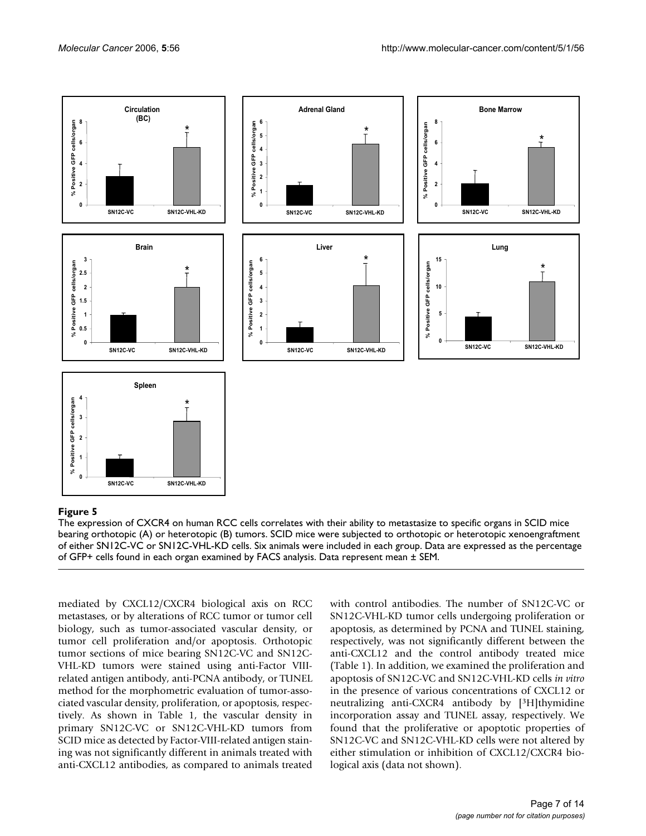

#### bearing orthotopic (A) or heterotopic (B) tumors **Figure 5** The expression of CXCR4 on human RCC cells correlates with their ability to metastasize to specific organs in SCID mice

The expression of CXCR4 on human RCC cells correlates with their ability to metastasize to specific organs in SCID mice bearing orthotopic (A) or heterotopic (B) tumors. SCID mice were subjected to orthotopic or heterotopic xenoengraftment of either SN12C-VC or SN12C-VHL-KD cells. Six animals were included in each group. Data are expressed as the percentage of GFP+ cells found in each organ examined by FACS analysis. Data represent mean ± SEM.

mediated by CXCL12/CXCR4 biological axis on RCC metastases, or by alterations of RCC tumor or tumor cell biology, such as tumor-associated vascular density, or tumor cell proliferation and/or apoptosis. Orthotopic tumor sections of mice bearing SN12C-VC and SN12C-VHL-KD tumors were stained using anti-Factor VIIIrelated antigen antibody, anti-PCNA antibody, or TUNEL method for the morphometric evaluation of tumor-associated vascular density, proliferation, or apoptosis, respectively. As shown in Table 1, the vascular density in primary SN12C-VC or SN12C-VHL-KD tumors from SCID mice as detected by Factor-VIII-related antigen staining was not significantly different in animals treated with anti-CXCL12 antibodies, as compared to animals treated

with control antibodies. The number of SN12C-VC or SN12C-VHL-KD tumor cells undergoing proliferation or apoptosis, as determined by PCNA and TUNEL staining, respectively, was not significantly different between the anti-CXCL12 and the control antibody treated mice (Table 1). In addition, we examined the proliferation and apoptosis of SN12C-VC and SN12C-VHL-KD cells *in vitro* in the presence of various concentrations of CXCL12 or neutralizing anti-CXCR4 antibody by [3H]thymidine incorporation assay and TUNEL assay, respectively. We found that the proliferative or apoptotic properties of SN12C-VC and SN12C-VHL-KD cells were not altered by either stimulation or inhibition of CXCL12/CXCR4 biological axis (data not shown).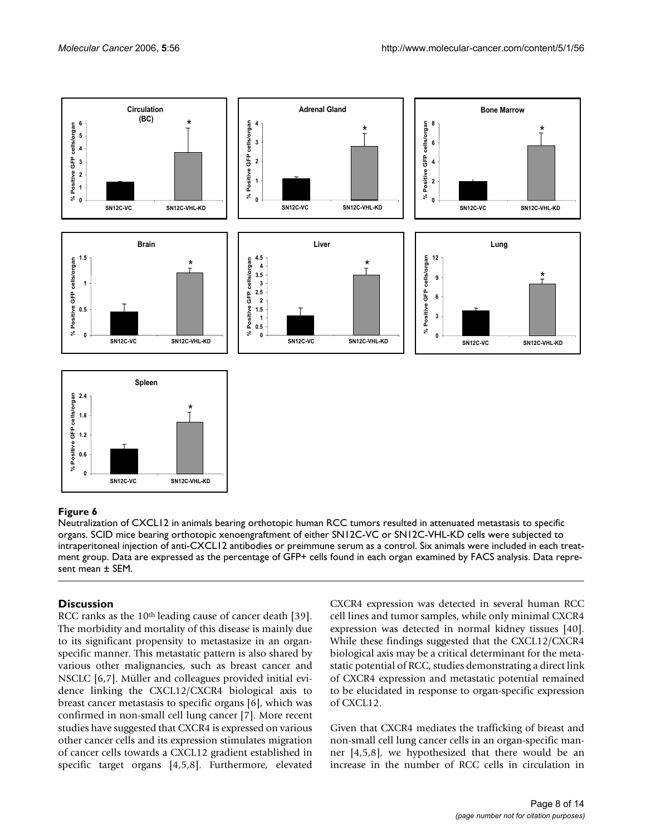

# organs **Figure 6** Neutralization of CXCL12 in animals bearing orthotopic human RCC tumors resulted in attenuated metastasis to specific

Neutralization of CXCL12 in animals bearing orthotopic human RCC tumors resulted in attenuated metastasis to specific organs. SCID mice bearing orthotopic xenoengraftment of either SN12C-VC or SN12C-VHL-KD cells were subjected to intraperitoneal injection of anti-CXCL12 antibodies or preimmune serum as a control. Six animals were included in each treatment group. Data are expressed as the percentage of GFP+ cells found in each organ examined by FACS analysis. Data represent mean ± SEM.

# **Discussion**

RCC ranks as the 10<sup>th</sup> leading cause of cancer death [39]. The morbidity and mortality of this disease is mainly due to its significant propensity to metastasize in an organspecific manner. This metastatic pattern is also shared by various other malignancies, such as breast cancer and NSCLC [6,7]. Müller and colleagues provided initial evidence linking the CXCL12/CXCR4 biological axis to breast cancer metastasis to specific organs [6], which was confirmed in non-small cell lung cancer [7]. More recent studies have suggested that CXCR4 is expressed on various other cancer cells and its expression stimulates migration of cancer cells towards a CXCL12 gradient established in specific target organs [4,5,8]. Furthermore, elevated

CXCR4 expression was detected in several human RCC cell lines and tumor samples, while only minimal CXCR4 expression was detected in normal kidney tissues [40]. While these findings suggested that the CXCL12/CXCR4 biological axis may be a critical determinant for the metastatic potential of RCC, studies demonstrating a direct link of CXCR4 expression and metastatic potential remained to be elucidated in response to organ-specific expression of CXCL12.

Given that CXCR4 mediates the trafficking of breast and non-small cell lung cancer cells in an organ-specific manner [4,5,8], we hypothesized that there would be an increase in the number of RCC cells in circulation in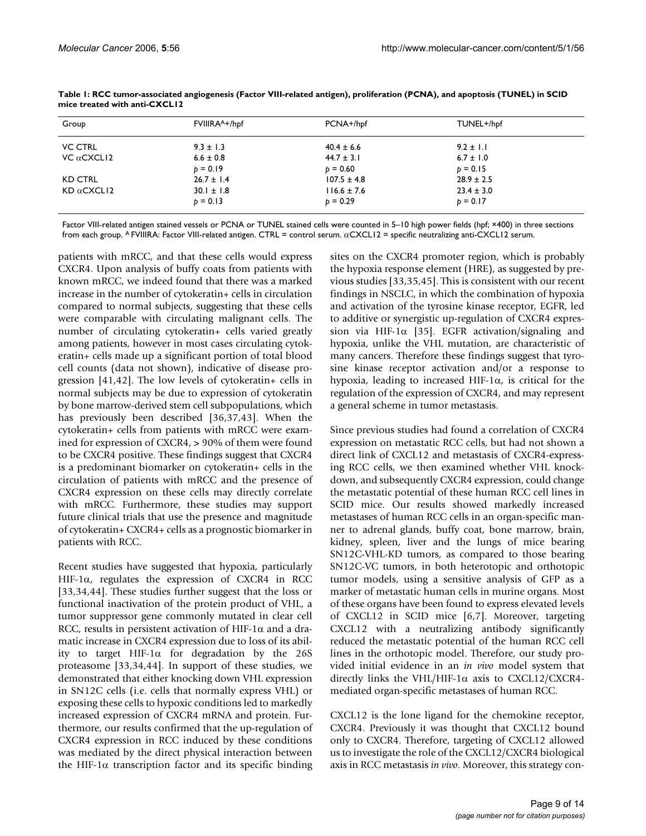| Group              | FVIIIRA <sup>A+/hpf</sup> | PCNA+/hpf       | TUNEL+/hpf     |  |
|--------------------|---------------------------|-----------------|----------------|--|
| <b>VC CTRL</b>     | $9.3 \pm 1.3$             | $40.4 \pm 6.6$  | $9.2 \pm 1.1$  |  |
| VC $α$ CXCLI2      | $6.6 \pm 0.8$             | $44.7 \pm 3.1$  | $6.7 \pm 1.0$  |  |
|                    | $p = 0.19$                | $p = 0.60$      | $b = 0.15$     |  |
| <b>KD CTRL</b>     | $26.7 \pm 1.4$            | $107.5 \pm 4.8$ | $28.9 \pm 2.5$ |  |
| $KD \alpha$ CXCLI2 | $30.1 \pm 1.8$            | $116.6 \pm 7.6$ | $23.4 \pm 3.0$ |  |
|                    | $p = 0.13$                | $p = 0.29$      | $p = 0.17$     |  |

**Table 1: RCC tumor-associated angiogenesis (Factor VIII-related antigen), proliferation (PCNA), and apoptosis (TUNEL) in SCID mice treated with anti-CXCL12**

Factor VIII-related antigen stained vessels or PCNA or TUNEL stained cells were counted in 5–10 high power fields (hpf; ×400) in three sections from each group. A FVIIIRA: Factor VIII-related antigen. CTRL = control serum. αCXCL12 = specific neutralizing anti-CXCL12 serum.

patients with mRCC, and that these cells would express CXCR4. Upon analysis of buffy coats from patients with known mRCC, we indeed found that there was a marked increase in the number of cytokeratin+ cells in circulation compared to normal subjects, suggesting that these cells were comparable with circulating malignant cells. The number of circulating cytokeratin+ cells varied greatly among patients, however in most cases circulating cytokeratin+ cells made up a significant portion of total blood cell counts (data not shown), indicative of disease progression [41,42]. The low levels of cytokeratin+ cells in normal subjects may be due to expression of cytokeratin by bone marrow-derived stem cell subpopulations, which has previously been described [36,37,43]. When the cytokeratin+ cells from patients with mRCC were examined for expression of CXCR4, > 90% of them were found to be CXCR4 positive. These findings suggest that CXCR4 is a predominant biomarker on cytokeratin+ cells in the circulation of patients with mRCC and the presence of CXCR4 expression on these cells may directly correlate with mRCC. Furthermore, these studies may support future clinical trials that use the presence and magnitude of cytokeratin+ CXCR4+ cells as a prognostic biomarker in patients with RCC.

Recent studies have suggested that hypoxia, particularly HIF-1α, regulates the expression of CXCR4 in RCC [33,34,44]. These studies further suggest that the loss or functional inactivation of the protein product of VHL, a tumor suppressor gene commonly mutated in clear cell RCC, results in persistent activation of HIF-1 $\alpha$  and a dramatic increase in CXCR4 expression due to loss of its ability to target HIF-1 $\alpha$  for degradation by the 26S proteasome [33,34,44]. In support of these studies, we demonstrated that either knocking down VHL expression in SN12C cells (i.e. cells that normally express VHL) or exposing these cells to hypoxic conditions led to markedly increased expression of CXCR4 mRNA and protein. Furthermore, our results confirmed that the up-regulation of CXCR4 expression in RCC induced by these conditions was mediated by the direct physical interaction between the HIF-1 $\alpha$  transcription factor and its specific binding sites on the CXCR4 promoter region, which is probably the hypoxia response element (HRE), as suggested by previous studies [33,35,45]. This is consistent with our recent findings in NSCLC, in which the combination of hypoxia and activation of the tyrosine kinase receptor, EGFR, led to additive or synergistic up-regulation of CXCR4 expression via HIF-1 $\alpha$  [35]. EGFR activation/signaling and hypoxia, unlike the VHL mutation, are characteristic of many cancers. Therefore these findings suggest that tyrosine kinase receptor activation and/or a response to hypoxia, leading to increased HIF-1α, is critical for the regulation of the expression of CXCR4, and may represent a general scheme in tumor metastasis.

Since previous studies had found a correlation of CXCR4 expression on metastatic RCC cells, but had not shown a direct link of CXCL12 and metastasis of CXCR4-expressing RCC cells, we then examined whether VHL knockdown, and subsequently CXCR4 expression, could change the metastatic potential of these human RCC cell lines in SCID mice. Our results showed markedly increased metastases of human RCC cells in an organ-specific manner to adrenal glands, buffy coat, bone marrow, brain, kidney, spleen, liver and the lungs of mice bearing SN12C-VHL-KD tumors, as compared to those bearing SN12C-VC tumors, in both heterotopic and orthotopic tumor models, using a sensitive analysis of GFP as a marker of metastatic human cells in murine organs. Most of these organs have been found to express elevated levels of CXCL12 in SCID mice [6,7]. Moreover, targeting CXCL12 with a neutralizing antibody significantly reduced the metastatic potential of the human RCC cell lines in the orthotopic model. Therefore, our study provided initial evidence in an *in vivo* model system that directly links the VHL/HIF-1α axis to CXCL12/CXCR4 mediated organ-specific metastases of human RCC.

CXCL12 is the lone ligand for the chemokine receptor, CXCR4. Previously it was thought that CXCL12 bound only to CXCR4. Therefore, targeting of CXCL12 allowed us to investigate the role of the CXCL12/CXCR4 biological axis in RCC metastasis *in vivo*. Moreover, this strategy con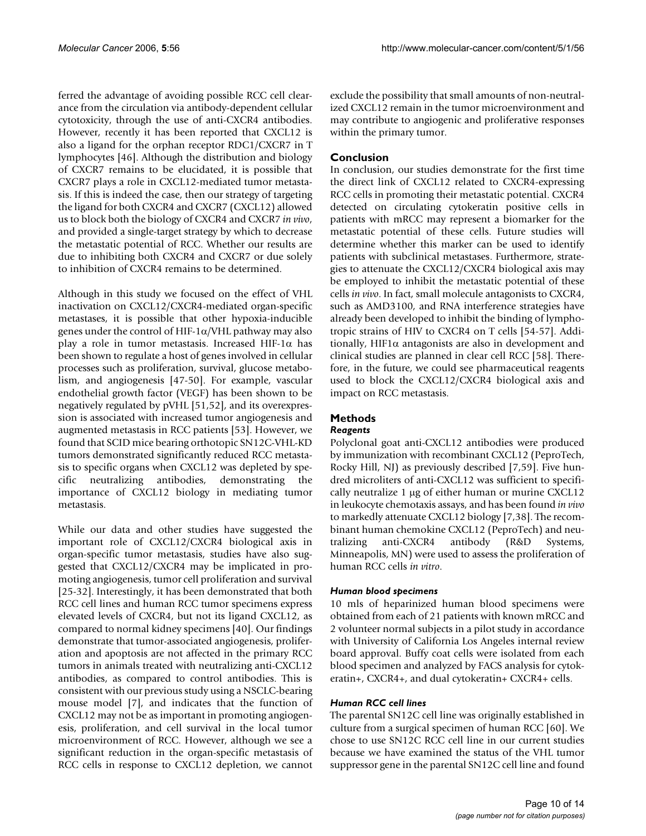ferred the advantage of avoiding possible RCC cell clearance from the circulation via antibody-dependent cellular cytotoxicity, through the use of anti-CXCR4 antibodies. However, recently it has been reported that CXCL12 is also a ligand for the orphan receptor RDC1/CXCR7 in T lymphocytes [46]. Although the distribution and biology of CXCR7 remains to be elucidated, it is possible that CXCR7 plays a role in CXCL12-mediated tumor metastasis. If this is indeed the case, then our strategy of targeting the ligand for both CXCR4 and CXCR7 (CXCL12) allowed us to block both the biology of CXCR4 and CXCR7 *in vivo*, and provided a single-target strategy by which to decrease the metastatic potential of RCC. Whether our results are due to inhibiting both CXCR4 and CXCR7 or due solely to inhibition of CXCR4 remains to be determined.

Although in this study we focused on the effect of VHL inactivation on CXCL12/CXCR4-mediated organ-specific metastases, it is possible that other hypoxia-inducible genes under the control of HIF-1 $\alpha$ /VHL pathway may also play a role in tumor metastasis. Increased HIF-1 $\alpha$  has been shown to regulate a host of genes involved in cellular processes such as proliferation, survival, glucose metabolism, and angiogenesis [47-50]. For example, vascular endothelial growth factor (VEGF) has been shown to be negatively regulated by pVHL [51,52], and its overexpression is associated with increased tumor angiogenesis and augmented metastasis in RCC patients [53]. However, we found that SCID mice bearing orthotopic SN12C-VHL-KD tumors demonstrated significantly reduced RCC metastasis to specific organs when CXCL12 was depleted by specific neutralizing antibodies, demonstrating the importance of CXCL12 biology in mediating tumor metastasis.

While our data and other studies have suggested the important role of CXCL12/CXCR4 biological axis in organ-specific tumor metastasis, studies have also suggested that CXCL12/CXCR4 may be implicated in promoting angiogenesis, tumor cell proliferation and survival [25-32]. Interestingly, it has been demonstrated that both RCC cell lines and human RCC tumor specimens express elevated levels of CXCR4, but not its ligand CXCL12, as compared to normal kidney specimens [40]. Our findings demonstrate that tumor-associated angiogenesis, proliferation and apoptosis are not affected in the primary RCC tumors in animals treated with neutralizing anti-CXCL12 antibodies, as compared to control antibodies. This is consistent with our previous study using a NSCLC-bearing mouse model [7], and indicates that the function of CXCL12 may not be as important in promoting angiogenesis, proliferation, and cell survival in the local tumor microenvironment of RCC. However, although we see a significant reduction in the organ-specific metastasis of RCC cells in response to CXCL12 depletion, we cannot exclude the possibility that small amounts of non-neutralized CXCL12 remain in the tumor microenvironment and may contribute to angiogenic and proliferative responses within the primary tumor.

# **Conclusion**

In conclusion, our studies demonstrate for the first time the direct link of CXCL12 related to CXCR4-expressing RCC cells in promoting their metastatic potential. CXCR4 detected on circulating cytokeratin positive cells in patients with mRCC may represent a biomarker for the metastatic potential of these cells. Future studies will determine whether this marker can be used to identify patients with subclinical metastases. Furthermore, strategies to attenuate the CXCL12/CXCR4 biological axis may be employed to inhibit the metastatic potential of these cells *in vivo*. In fact, small molecule antagonists to CXCR4, such as AMD3100, and RNA interference strategies have already been developed to inhibit the binding of lymphotropic strains of HIV to CXCR4 on T cells [54-57]. Additionally, HIF1 $\alpha$  antagonists are also in development and clinical studies are planned in clear cell RCC [58]. Therefore, in the future, we could see pharmaceutical reagents used to block the CXCL12/CXCR4 biological axis and impact on RCC metastasis.

# **Methods**

# *Reagents*

Polyclonal goat anti-CXCL12 antibodies were produced by immunization with recombinant CXCL12 (PeproTech, Rocky Hill, NJ) as previously described [7,59]. Five hundred microliters of anti-CXCL12 was sufficient to specifically neutralize 1 µg of either human or murine CXCL12 in leukocyte chemotaxis assays, and has been found *in vivo* to markedly attenuate CXCL12 biology [7,38]. The recombinant human chemokine CXCL12 (PeproTech) and neutralizing anti-CXCR4 antibody (R&D Systems, Minneapolis, MN) were used to assess the proliferation of human RCC cells *in vitro*.

# *Human blood specimens*

10 mls of heparinized human blood specimens were obtained from each of 21 patients with known mRCC and 2 volunteer normal subjects in a pilot study in accordance with University of California Los Angeles internal review board approval. Buffy coat cells were isolated from each blood specimen and analyzed by FACS analysis for cytokeratin+, CXCR4+, and dual cytokeratin+ CXCR4+ cells.

# *Human RCC cell lines*

The parental SN12C cell line was originally established in culture from a surgical specimen of human RCC [60]. We chose to use SN12C RCC cell line in our current studies because we have examined the status of the VHL tumor suppressor gene in the parental SN12C cell line and found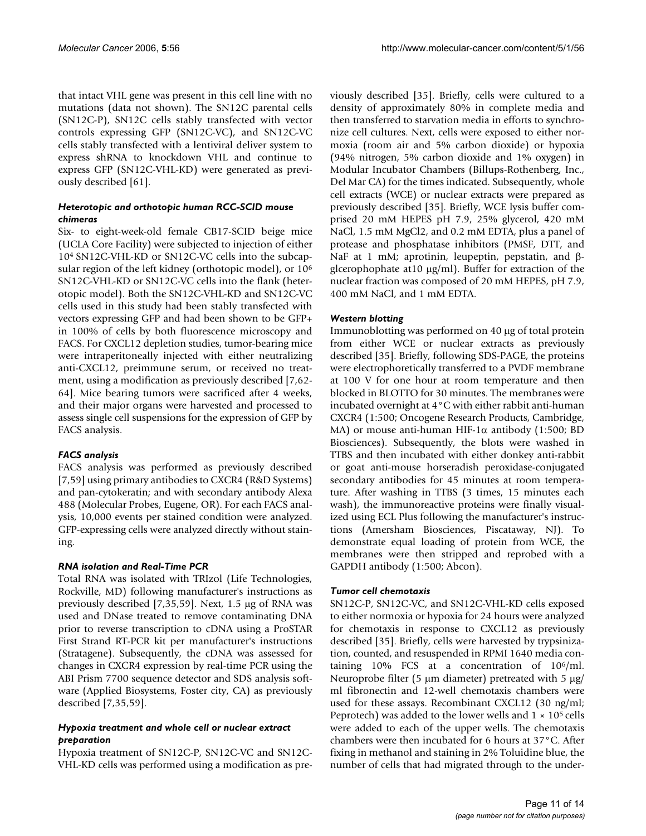that intact VHL gene was present in this cell line with no mutations (data not shown). The SN12C parental cells (SN12C-P), SN12C cells stably transfected with vector controls expressing GFP (SN12C-VC), and SN12C-VC cells stably transfected with a lentiviral deliver system to express shRNA to knockdown VHL and continue to express GFP (SN12C-VHL-KD) were generated as previously described [61].

# *Heterotopic and orthotopic human RCC-SCID mouse chimeras*

Six- to eight-week-old female CB17-SCID beige mice (UCLA Core Facility) were subjected to injection of either 104 SN12C-VHL-KD or SN12C-VC cells into the subcapsular region of the left kidney (orthotopic model), or 106 SN12C-VHL-KD or SN12C-VC cells into the flank (heterotopic model). Both the SN12C-VHL-KD and SN12C-VC cells used in this study had been stably transfected with vectors expressing GFP and had been shown to be GFP+ in 100% of cells by both fluorescence microscopy and FACS. For CXCL12 depletion studies, tumor-bearing mice were intraperitoneally injected with either neutralizing anti-CXCL12, preimmune serum, or received no treatment, using a modification as previously described [7,62- 64]. Mice bearing tumors were sacrificed after 4 weeks, and their major organs were harvested and processed to assess single cell suspensions for the expression of GFP by FACS analysis.

# *FACS analysis*

FACS analysis was performed as previously described [7,59] using primary antibodies to CXCR4 (R&D Systems) and pan-cytokeratin; and with secondary antibody Alexa 488 (Molecular Probes, Eugene, OR). For each FACS analysis, 10,000 events per stained condition were analyzed. GFP-expressing cells were analyzed directly without staining.

# *RNA isolation and Real-Time PCR*

Total RNA was isolated with TRIzol (Life Technologies, Rockville, MD) following manufacturer's instructions as previously described [7,35,59]. Next, 1.5 µg of RNA was used and DNase treated to remove contaminating DNA prior to reverse transcription to cDNA using a ProSTAR First Strand RT-PCR kit per manufacturer's instructions (Stratagene). Subsequently, the cDNA was assessed for changes in CXCR4 expression by real-time PCR using the ABI Prism 7700 sequence detector and SDS analysis software (Applied Biosystems, Foster city, CA) as previously described [7,35,59].

#### *Hypoxia treatment and whole cell or nuclear extract preparation*

Hypoxia treatment of SN12C-P, SN12C-VC and SN12C-VHL-KD cells was performed using a modification as previously described [35]. Briefly, cells were cultured to a density of approximately 80% in complete media and then transferred to starvation media in efforts to synchronize cell cultures. Next, cells were exposed to either normoxia (room air and 5% carbon dioxide) or hypoxia (94% nitrogen, 5% carbon dioxide and 1% oxygen) in Modular Incubator Chambers (Billups-Rothenberg, Inc., Del Mar CA) for the times indicated. Subsequently, whole cell extracts (WCE) or nuclear extracts were prepared as previously described [35]. Briefly, WCE lysis buffer comprised 20 mM HEPES pH 7.9, 25% glycerol, 420 mM NaCl, 1.5 mM MgCl2, and 0.2 mM EDTA, plus a panel of protease and phosphatase inhibitors (PMSF, DTT, and NaF at 1 mM; aprotinin, leupeptin, pepstatin, and βglcerophophate at10 µg/ml). Buffer for extraction of the nuclear fraction was composed of 20 mM HEPES, pH 7.9, 400 mM NaCl, and 1 mM EDTA.

# *Western blotting*

Immunoblotting was performed on 40 µg of total protein from either WCE or nuclear extracts as previously described [35]. Briefly, following SDS-PAGE, the proteins were electrophoretically transferred to a PVDF membrane at 100 V for one hour at room temperature and then blocked in BLOTTO for 30 minutes. The membranes were incubated overnight at 4°C with either rabbit anti-human CXCR4 (1:500; Oncogene Research Products, Cambridge, MA) or mouse anti-human HIF-1α antibody (1:500; BD Biosciences). Subsequently, the blots were washed in TTBS and then incubated with either donkey anti-rabbit or goat anti-mouse horseradish peroxidase-conjugated secondary antibodies for 45 minutes at room temperature. After washing in TTBS (3 times, 15 minutes each wash), the immunoreactive proteins were finally visualized using ECL Plus following the manufacturer's instructions (Amersham Biosciences, Piscataway, NJ). To demonstrate equal loading of protein from WCE, the membranes were then stripped and reprobed with a GAPDH antibody (1:500; Abcon).

# *Tumor cell chemotaxis*

SN12C-P, SN12C-VC, and SN12C-VHL-KD cells exposed to either normoxia or hypoxia for 24 hours were analyzed for chemotaxis in response to CXCL12 as previously described [35]. Briefly, cells were harvested by trypsinization, counted, and resuspended in RPMI 1640 media containing  $10\%$  FCS at a concentration of  $10^6$ /ml. Neuroprobe filter (5  $\mu$ m diameter) pretreated with 5  $\mu$ g/ ml fibronectin and 12-well chemotaxis chambers were used for these assays. Recombinant CXCL12 (30 ng/ml; Peprotech) was added to the lower wells and  $1 \times 10^5$  cells were added to each of the upper wells. The chemotaxis chambers were then incubated for 6 hours at 37°C. After fixing in methanol and staining in 2% Toluidine blue, the number of cells that had migrated through to the under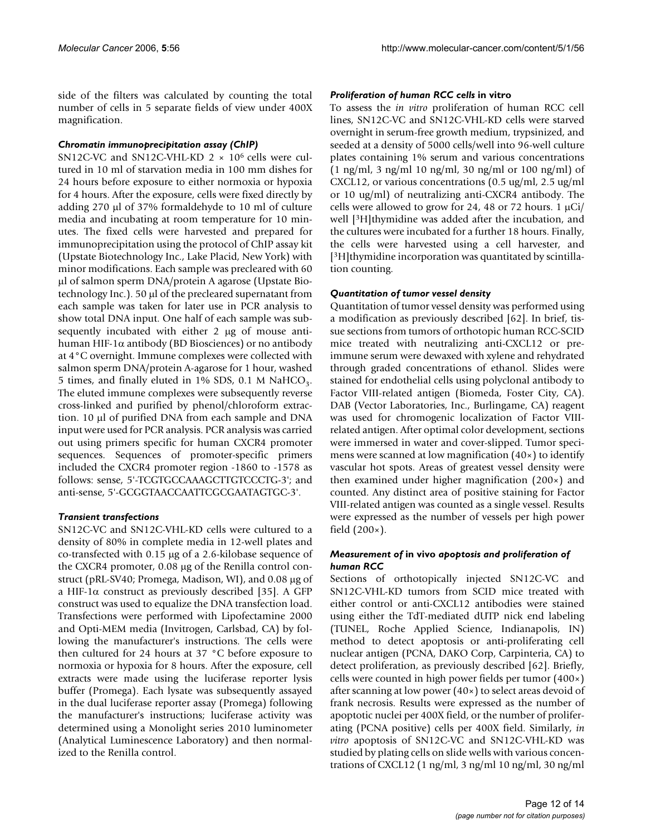side of the filters was calculated by counting the total number of cells in 5 separate fields of view under 400X magnification.

# *Chromatin immunoprecipitation assay (ChIP)*

SN12C-VC and SN12C-VHL-KD 2 × 106 cells were cultured in 10 ml of starvation media in 100 mm dishes for 24 hours before exposure to either normoxia or hypoxia for 4 hours. After the exposure, cells were fixed directly by adding 270 µl of 37% formaldehyde to 10 ml of culture media and incubating at room temperature for 10 minutes. The fixed cells were harvested and prepared for immunoprecipitation using the protocol of ChIP assay kit (Upstate Biotechnology Inc., Lake Placid, New York) with minor modifications. Each sample was precleared with 60 µl of salmon sperm DNA/protein A agarose (Upstate Biotechnology Inc.). 50 µl of the precleared supernatant from each sample was taken for later use in PCR analysis to show total DNA input. One half of each sample was subsequently incubated with either 2 µg of mouse antihuman HIF-1 $\alpha$  antibody (BD Biosciences) or no antibody at 4°C overnight. Immune complexes were collected with salmon sperm DNA/protein A-agarose for 1 hour, washed 5 times, and finally eluted in 1% SDS, 0.1 M NaHCO<sub>3</sub>. The eluted immune complexes were subsequently reverse cross-linked and purified by phenol/chloroform extraction. 10 µl of purified DNA from each sample and DNA input were used for PCR analysis. PCR analysis was carried out using primers specific for human CXCR4 promoter sequences. Sequences of promoter-specific primers included the CXCR4 promoter region -1860 to -1578 as follows: sense, 5'-TCGTGCCAAAGCTTGTCCCTG-3'; and anti-sense, 5'-GCGGTAACCAATTCGCGAATAGTGC-3'.

# *Transient transfections*

SN12C-VC and SN12C-VHL-KD cells were cultured to a density of 80% in complete media in 12-well plates and co-transfected with 0.15 µg of a 2.6-kilobase sequence of the CXCR4 promoter, 0.08 µg of the Renilla control construct (pRL-SV40; Promega, Madison, WI), and 0.08 µg of a HIF-1α construct as previously described [35]. A GFP construct was used to equalize the DNA transfection load. Transfections were performed with Lipofectamine 2000 and Opti-MEM media (Invitrogen, Carlsbad, CA) by following the manufacturer's instructions. The cells were then cultured for 24 hours at 37 °C before exposure to normoxia or hypoxia for 8 hours. After the exposure, cell extracts were made using the luciferase reporter lysis buffer (Promega). Each lysate was subsequently assayed in the dual luciferase reporter assay (Promega) following the manufacturer's instructions; luciferase activity was determined using a Monolight series 2010 luminometer (Analytical Luminescence Laboratory) and then normalized to the Renilla control.

#### *Proliferation of human RCC cells* **in vitro**

To assess the *in vitro* proliferation of human RCC cell lines, SN12C-VC and SN12C-VHL-KD cells were starved overnight in serum-free growth medium, trypsinized, and seeded at a density of 5000 cells/well into 96-well culture plates containing 1% serum and various concentrations (1 ng/ml, 3 ng/ml 10 ng/ml, 30 ng/ml or 100 ng/ml) of CXCL12, or various concentrations (0.5 ug/ml, 2.5 ug/ml or 10 ug/ml) of neutralizing anti-CXCR4 antibody. The cells were allowed to grow for 24, 48 or 72 hours. 1  $\mu$ Ci/ well [3H]thymidine was added after the incubation, and the cultures were incubated for a further 18 hours. Finally, the cells were harvested using a cell harvester, and [3H]thymidine incorporation was quantitated by scintillation counting.

# *Quantitation of tumor vessel density*

Quantitation of tumor vessel density was performed using a modification as previously described [62]. In brief, tissue sections from tumors of orthotopic human RCC-SCID mice treated with neutralizing anti-CXCL12 or preimmune serum were dewaxed with xylene and rehydrated through graded concentrations of ethanol. Slides were stained for endothelial cells using polyclonal antibody to Factor VIII-related antigen (Biomeda, Foster City, CA). DAB (Vector Laboratories, Inc., Burlingame, CA) reagent was used for chromogenic localization of Factor VIIIrelated antigen. After optimal color development, sections were immersed in water and cover-slipped. Tumor specimens were scanned at low magnification (40×) to identify vascular hot spots. Areas of greatest vessel density were then examined under higher magnification (200×) and counted. Any distinct area of positive staining for Factor VIII-related antigen was counted as a single vessel. Results were expressed as the number of vessels per high power field  $(200\times)$ .

#### *Measurement of* **in vivo** *apoptosis and proliferation of human RCC*

Sections of orthotopically injected SN12C-VC and SN12C-VHL-KD tumors from SCID mice treated with either control or anti-CXCL12 antibodies were stained using either the TdT-mediated dUTP nick end labeling (TUNEL, Roche Applied Science, Indianapolis, IN) method to detect apoptosis or anti-proliferating cell nuclear antigen (PCNA, DAKO Corp, Carpinteria, CA) to detect proliferation, as previously described [62]. Briefly, cells were counted in high power fields per tumor (400×) after scanning at low power (40×) to select areas devoid of frank necrosis. Results were expressed as the number of apoptotic nuclei per 400X field, or the number of proliferating (PCNA positive) cells per 400X field. Similarly, *in vitro* apoptosis of SN12C-VC and SN12C-VHL-KD was studied by plating cells on slide wells with various concentrations of CXCL12 (1 ng/ml, 3 ng/ml 10 ng/ml, 30 ng/ml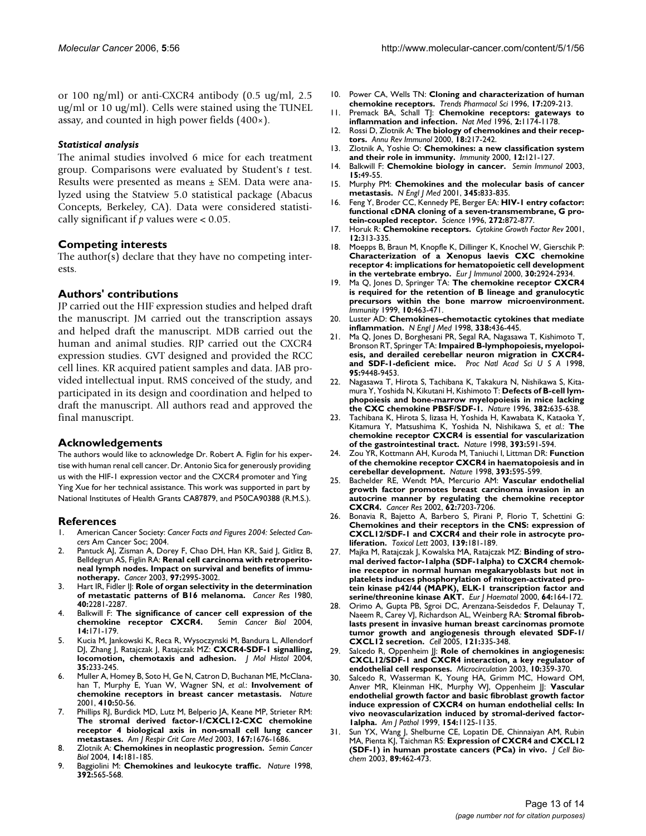or 100 ng/ml) or anti-CXCR4 antibody (0.5 ug/ml, 2.5 ug/ml or 10 ug/ml). Cells were stained using the TUNEL assay, and counted in high power fields (400×).

#### *Statistical analysis*

The animal studies involved 6 mice for each treatment group. Comparisons were evaluated by Student's *t* test. Results were presented as means ± SEM. Data were analyzed using the Statview 5.0 statistical package (Abacus Concepts, Berkeley, CA). Data were considered statistically significant if *p* values were < 0.05.

#### **Competing interests**

The author(s) declare that they have no competing interests.

# **Authors' contributions**

JP carried out the HIF expression studies and helped draft the manuscript. JM carried out the transcription assays and helped draft the manuscript. MDB carried out the human and animal studies. RJP carried out the CXCR4 expression studies. GVT designed and provided the RCC cell lines. KR acquired patient samples and data. JAB provided intellectual input. RMS conceived of the study, and participated in its design and coordination and helped to draft the manuscript. All authors read and approved the final manuscript.

# **Acknowledgements**

The authors would like to acknowledge Dr. Robert A. Figlin for his expertise with human renal cell cancer. Dr. Antonio Sica for generously providing us with the HIF-1 expression vector and the CXCR4 promoter and Ying Ying Xue for her technical assistance. This work was supported in part by National Institutes of Health Grants CA87879, and P50CA90388 (R.M.S.).

#### **References**

- 1. American Cancer Society: *Cancer Facts and Figures 2004: Selected Cancers* Am Cancer Soc; 2004.
- Pantuck AJ, Zisman A, Dorey F, Chao DH, Han KR, Said J, Gitlitz B, Belldegrun AS, Figlin RA: **[Renal cell carcinoma with retroperito](http://www.ncbi.nlm.nih.gov/entrez/query.fcgi?cmd=Retrieve&db=PubMed&dopt=Abstract&list_uids=12784334)[neal lymph nodes. Impact on survival and benefits of immu](http://www.ncbi.nlm.nih.gov/entrez/query.fcgi?cmd=Retrieve&db=PubMed&dopt=Abstract&list_uids=12784334)[notherapy.](http://www.ncbi.nlm.nih.gov/entrez/query.fcgi?cmd=Retrieve&db=PubMed&dopt=Abstract&list_uids=12784334)** *Cancer* 2003, **97:**2995-3002.
- 3. Hart IR, Fidler IJ: **[Role of organ selectivity in the determination](http://www.ncbi.nlm.nih.gov/entrez/query.fcgi?cmd=Retrieve&db=PubMed&dopt=Abstract&list_uids=7388794) [of metastatic patterns of B16 melanoma.](http://www.ncbi.nlm.nih.gov/entrez/query.fcgi?cmd=Retrieve&db=PubMed&dopt=Abstract&list_uids=7388794)** *Cancer Res* 1980, **40:**2281-2287.
- 4. Balkwill F: **[The significance of cancer cell expression of the](http://www.ncbi.nlm.nih.gov/entrez/query.fcgi?cmd=Retrieve&db=PubMed&dopt=Abstract&list_uids=15246052) [chemokine receptor CXCR4.](http://www.ncbi.nlm.nih.gov/entrez/query.fcgi?cmd=Retrieve&db=PubMed&dopt=Abstract&list_uids=15246052)** *Semin Cancer Biol* 2004, **14:**171-179.
- 5. Kucia M, Jankowski K, Reca R, Wysoczynski M, Bandura L, Allendorf DJ, Zhang J, Ratajczak J, Ratajczak MZ: **[CXCR4-SDF-1 signalling,](http://www.ncbi.nlm.nih.gov/entrez/query.fcgi?cmd=Retrieve&db=PubMed&dopt=Abstract&list_uids=15339043) [locomotion, chemotaxis and adhesion.](http://www.ncbi.nlm.nih.gov/entrez/query.fcgi?cmd=Retrieve&db=PubMed&dopt=Abstract&list_uids=15339043)** *J Mol Histol* 2004, **35:**233-245.
- Muller A, Homey B, Soto H, Ge N, Catron D, Buchanan ME, McClanahan T, Murphy E, Yuan W, Wagner SN, *et al.*: **[Involvement of](http://www.ncbi.nlm.nih.gov/entrez/query.fcgi?cmd=Retrieve&db=PubMed&dopt=Abstract&list_uids=11242036) [chemokine receptors in breast cancer metastasis.](http://www.ncbi.nlm.nih.gov/entrez/query.fcgi?cmd=Retrieve&db=PubMed&dopt=Abstract&list_uids=11242036)** *Nature* 2001, **410:**50-56.
- 7. Phillips RJ, Burdick MD, Lutz M, Belperio JA, Keane MP, Strieter RM: **The stromal derived factor-1/CXCL12-CXC chemokine [receptor 4 biological axis in non-small cell lung cancer](http://www.ncbi.nlm.nih.gov/entrez/query.fcgi?cmd=Retrieve&db=PubMed&dopt=Abstract&list_uids=12626353) [metastases.](http://www.ncbi.nlm.nih.gov/entrez/query.fcgi?cmd=Retrieve&db=PubMed&dopt=Abstract&list_uids=12626353)** *Am J Respir Crit Care Med* 2003, **167:**1676-1686.
- 8. Zlotnik A: **[Chemokines in neoplastic progression.](http://www.ncbi.nlm.nih.gov/entrez/query.fcgi?cmd=Retrieve&db=PubMed&dopt=Abstract&list_uids=15246053)** *Semin Cancer Biol* 2004, **14:**181-185.
- 9. Baggiolini M: **[Chemokines and leukocyte traffic.](http://www.ncbi.nlm.nih.gov/entrez/query.fcgi?cmd=Retrieve&db=PubMed&dopt=Abstract&list_uids=9560152)** *Nature* 1998, **392:**565-568.
- 10. Power CA, Wells TN: **[Cloning and characterization of human](http://www.ncbi.nlm.nih.gov/entrez/query.fcgi?cmd=Retrieve&db=PubMed&dopt=Abstract&list_uids=8763196) [chemokine receptors.](http://www.ncbi.nlm.nih.gov/entrez/query.fcgi?cmd=Retrieve&db=PubMed&dopt=Abstract&list_uids=8763196)** *Trends Pharmacol Sci* 1996, **17:**209-213.
- 11. Premack BA, Schall TJ: **[Chemokine receptors: gateways to](http://www.ncbi.nlm.nih.gov/entrez/query.fcgi?cmd=Retrieve&db=PubMed&dopt=Abstract&list_uids=8898734) [inflammation and infection.](http://www.ncbi.nlm.nih.gov/entrez/query.fcgi?cmd=Retrieve&db=PubMed&dopt=Abstract&list_uids=8898734)** *Nat Med* 1996, **2:**1174-1178.
- 12. Rossi D, Zlotnik A: **[The biology of chemokines and their recep](http://www.ncbi.nlm.nih.gov/entrez/query.fcgi?cmd=Retrieve&db=PubMed&dopt=Abstract&list_uids=10837058)[tors.](http://www.ncbi.nlm.nih.gov/entrez/query.fcgi?cmd=Retrieve&db=PubMed&dopt=Abstract&list_uids=10837058)** *Annu Rev Immunol* 2000, **18:**217-242.
- 13. Zlotnik A, Yoshie O: **[Chemokines: a new classification system](http://www.ncbi.nlm.nih.gov/entrez/query.fcgi?cmd=Retrieve&db=PubMed&dopt=Abstract&list_uids=10714678) [and their role in immunity.](http://www.ncbi.nlm.nih.gov/entrez/query.fcgi?cmd=Retrieve&db=PubMed&dopt=Abstract&list_uids=10714678)** *Immunity* 2000, **12:**121-127.
- 14. Balkwill F: **[Chemokine biology in cancer.](http://www.ncbi.nlm.nih.gov/entrez/query.fcgi?cmd=Retrieve&db=PubMed&dopt=Abstract&list_uids=12495640)** *Semin Immunol* 2003, **15:**49-55.
- 15. Murphy PM: **[Chemokines and the molecular basis of cancer](http://www.ncbi.nlm.nih.gov/entrez/query.fcgi?cmd=Retrieve&db=PubMed&dopt=Abstract&list_uids=11556308) [metastasis.](http://www.ncbi.nlm.nih.gov/entrez/query.fcgi?cmd=Retrieve&db=PubMed&dopt=Abstract&list_uids=11556308)** *N Engl J Med* 2001, **345:**833-835.
- 16. Feng Y, Broder CC, Kennedy PE, Berger EA: **[HIV-1 entry cofactor:](http://www.ncbi.nlm.nih.gov/entrez/query.fcgi?cmd=Retrieve&db=PubMed&dopt=Abstract&list_uids=8629022) [functional cDNA cloning of a seven-transmembrane, G pro](http://www.ncbi.nlm.nih.gov/entrez/query.fcgi?cmd=Retrieve&db=PubMed&dopt=Abstract&list_uids=8629022)[tein-coupled receptor.](http://www.ncbi.nlm.nih.gov/entrez/query.fcgi?cmd=Retrieve&db=PubMed&dopt=Abstract&list_uids=8629022)** *Science* 1996, **272:**872-877.
- 17. Horuk R: **[Chemokine receptors.](http://www.ncbi.nlm.nih.gov/entrez/query.fcgi?cmd=Retrieve&db=PubMed&dopt=Abstract&list_uids=11544102)** *Cytokine Growth Factor Rev* 2001, **12:**313-335.
- 18. Moepps B, Braun M, Knopfle K, Dillinger K, Knochel W, Gierschik P: **Characterization of a Xenopus laevis CXC chemokine [receptor 4: implications for hematopoietic cell development](http://www.ncbi.nlm.nih.gov/entrez/query.fcgi?cmd=Retrieve&db=PubMed&dopt=Abstract&list_uids=11069075) [in the vertebrate embryo.](http://www.ncbi.nlm.nih.gov/entrez/query.fcgi?cmd=Retrieve&db=PubMed&dopt=Abstract&list_uids=11069075)** *Eur J Immunol* 2000, **30:**2924-2934.
- 19. Ma Q, Jones D, Springer TA: **[The chemokine receptor CXCR4](http://www.ncbi.nlm.nih.gov/entrez/query.fcgi?cmd=Retrieve&db=PubMed&dopt=Abstract&list_uids=10229189) is required for the retention of B lineage and granulocytic [precursors within the bone marrow microenvironment.](http://www.ncbi.nlm.nih.gov/entrez/query.fcgi?cmd=Retrieve&db=PubMed&dopt=Abstract&list_uids=10229189)** *Immunity* 1999, **10:**463-471.
- 20. Luster AD: **[Chemokines–chemotactic cytokines that mediate](http://www.ncbi.nlm.nih.gov/entrez/query.fcgi?cmd=Retrieve&db=PubMed&dopt=Abstract&list_uids=9459648) [inflammation.](http://www.ncbi.nlm.nih.gov/entrez/query.fcgi?cmd=Retrieve&db=PubMed&dopt=Abstract&list_uids=9459648)** *N Engl J Med* 1998, **338:**436-445.
- 21. Ma Q, Jones D, Borghesani PR, Segal RA, Nagasawa T, Kishimoto T, Bronson RT, Springer TA: **[Impaired B-lymphopoiesis, myelopoi](http://www.ncbi.nlm.nih.gov/entrez/query.fcgi?cmd=Retrieve&db=PubMed&dopt=Abstract&list_uids=9689100)[esis, and derailed cerebellar neuron migration in CXCR4](http://www.ncbi.nlm.nih.gov/entrez/query.fcgi?cmd=Retrieve&db=PubMed&dopt=Abstract&list_uids=9689100) [and SDF-1-deficient mice.](http://www.ncbi.nlm.nih.gov/entrez/query.fcgi?cmd=Retrieve&db=PubMed&dopt=Abstract&list_uids=9689100)** *Proc Natl Acad Sci U S A* 1998, **95:**9448-9453.
- 22. Nagasawa T, Hirota S, Tachibana K, Takakura N, Nishikawa S, Kitamura Y, Yoshida N, Kikutani H, Kishimoto T: **[Defects of B-cell lym](http://www.ncbi.nlm.nih.gov/entrez/query.fcgi?cmd=Retrieve&db=PubMed&dopt=Abstract&list_uids=8757135)[phopoiesis and bone-marrow myelopoiesis in mice lacking](http://www.ncbi.nlm.nih.gov/entrez/query.fcgi?cmd=Retrieve&db=PubMed&dopt=Abstract&list_uids=8757135) [the CXC chemokine PBSF/SDF-1.](http://www.ncbi.nlm.nih.gov/entrez/query.fcgi?cmd=Retrieve&db=PubMed&dopt=Abstract&list_uids=8757135)** *Nature* 1996, **382:**635-638.
- 23. Tachibana K, Hirota S, Iizasa H, Yoshida H, Kawabata K, Kataoka Y, Kitamura Y, Matsushima K, Yoshida N, Nishikawa S, *et al.*: **[The](http://www.ncbi.nlm.nih.gov/entrez/query.fcgi?cmd=Retrieve&db=PubMed&dopt=Abstract&list_uids=9634237) [chemokine receptor CXCR4 is essential for vascularization](http://www.ncbi.nlm.nih.gov/entrez/query.fcgi?cmd=Retrieve&db=PubMed&dopt=Abstract&list_uids=9634237) [of the gastrointestinal tract.](http://www.ncbi.nlm.nih.gov/entrez/query.fcgi?cmd=Retrieve&db=PubMed&dopt=Abstract&list_uids=9634237)** *Nature* 1998, **393:**591-594.
- 24. Zou YR, Kottmann AH, Kuroda M, Taniuchi I, Littman DR: **[Function](http://www.ncbi.nlm.nih.gov/entrez/query.fcgi?cmd=Retrieve&db=PubMed&dopt=Abstract&list_uids=9634238) [of the chemokine receptor CXCR4 in haematopoiesis and in](http://www.ncbi.nlm.nih.gov/entrez/query.fcgi?cmd=Retrieve&db=PubMed&dopt=Abstract&list_uids=9634238) [cerebellar development.](http://www.ncbi.nlm.nih.gov/entrez/query.fcgi?cmd=Retrieve&db=PubMed&dopt=Abstract&list_uids=9634238)** *Nature* 1998, **393:**595-599.
- 25. Bachelder RE, Wendt MA, Mercurio AM: **[Vascular endothelial](http://www.ncbi.nlm.nih.gov/entrez/query.fcgi?cmd=Retrieve&db=PubMed&dopt=Abstract&list_uids=12499259) growth factor promotes breast carcinoma invasion in an [autocrine manner by regulating the chemokine receptor](http://www.ncbi.nlm.nih.gov/entrez/query.fcgi?cmd=Retrieve&db=PubMed&dopt=Abstract&list_uids=12499259) [CXCR4.](http://www.ncbi.nlm.nih.gov/entrez/query.fcgi?cmd=Retrieve&db=PubMed&dopt=Abstract&list_uids=12499259)** *Cancer Res* 2002, **62:**7203-7206.
- 26. Bonavia R, Bajetto A, Barbero S, Pirani P, Florio T, Schettini G: **Chemokines and their receptors in the CNS: expression of [CXCL12/SDF-1 and CXCR4 and their role in astrocyte pro](http://www.ncbi.nlm.nih.gov/entrez/query.fcgi?cmd=Retrieve&db=PubMed&dopt=Abstract&list_uids=12628753)[liferation.](http://www.ncbi.nlm.nih.gov/entrez/query.fcgi?cmd=Retrieve&db=PubMed&dopt=Abstract&list_uids=12628753)** *Toxicol Lett* 2003, **139:**181-189.
- 27. Majka M, Ratajczak J, Kowalska MA, Ratajczak MZ: **[Binding of stro](http://www.ncbi.nlm.nih.gov/entrez/query.fcgi?cmd=Retrieve&db=PubMed&dopt=Abstract&list_uids=10997882)mal derived factor-1alpha (SDF-1alpha) to CXCR4 chemokine receptor in normal human megakaryoblasts but not in platelets induces phosphorylation of mitogen-activated pro[tein kinase p42/44 \(MAPK\), ELK-1 transcription factor and](http://www.ncbi.nlm.nih.gov/entrez/query.fcgi?cmd=Retrieve&db=PubMed&dopt=Abstract&list_uids=10997882) [serine/threonine kinase AKT.](http://www.ncbi.nlm.nih.gov/entrez/query.fcgi?cmd=Retrieve&db=PubMed&dopt=Abstract&list_uids=10997882)** *Eur J Haematol* 2000, **64:**164-172.
- 28. Orimo A, Gupta PB, Sgroi DC, Arenzana-Seisdedos F, Delaunay T, Naeem R, Carey VJ, Richardson AL, Weinberg RA: **[Stromal fibrob](http://www.ncbi.nlm.nih.gov/entrez/query.fcgi?cmd=Retrieve&db=PubMed&dopt=Abstract&list_uids=15882617)lasts present in invasive human breast carcinomas promote [tumor growth and angiogenesis through elevated SDF-1/](http://www.ncbi.nlm.nih.gov/entrez/query.fcgi?cmd=Retrieve&db=PubMed&dopt=Abstract&list_uids=15882617) [CXCL12 secretion.](http://www.ncbi.nlm.nih.gov/entrez/query.fcgi?cmd=Retrieve&db=PubMed&dopt=Abstract&list_uids=15882617)** *Cell* 2005, **121:**335-348.
- 29. Salcedo R, Oppenheim JJ: **[Role of chemokines in angiogenesis:](http://www.ncbi.nlm.nih.gov/entrez/query.fcgi?cmd=Retrieve&db=PubMed&dopt=Abstract&list_uids=12851652) [CXCL12/SDF-1 and CXCR4 interaction, a key regulator of](http://www.ncbi.nlm.nih.gov/entrez/query.fcgi?cmd=Retrieve&db=PubMed&dopt=Abstract&list_uids=12851652) [endothelial cell responses.](http://www.ncbi.nlm.nih.gov/entrez/query.fcgi?cmd=Retrieve&db=PubMed&dopt=Abstract&list_uids=12851652)** *Microcirculation* 2003, **10:**359-370.
- 30. Salcedo R, Wasserman K, Young HA, Grimm MC, Howard OM, Anver MR, Kleinman HK, Murphy WJ, Oppenheim JJ: **[Vascular](http://www.ncbi.nlm.nih.gov/entrez/query.fcgi?cmd=Retrieve&db=PubMed&dopt=Abstract&list_uids=10233851) endothelial growth factor and basic fibroblast growth factor induce expression of CXCR4 on human endothelial cells: In [vivo neovascularization induced by stromal-derived factor-](http://www.ncbi.nlm.nih.gov/entrez/query.fcgi?cmd=Retrieve&db=PubMed&dopt=Abstract&list_uids=10233851)[1alpha.](http://www.ncbi.nlm.nih.gov/entrez/query.fcgi?cmd=Retrieve&db=PubMed&dopt=Abstract&list_uids=10233851)** *Am J Pathol* 1999, **154:**1125-1135.
- 31. Sun YX, Wang J, Shelburne CE, Lopatin DE, Chinnaiyan AM, Rubin MA, Pienta KJ, Taichman RS: **[Expression of CXCR4 and CXCL12](http://www.ncbi.nlm.nih.gov/entrez/query.fcgi?cmd=Retrieve&db=PubMed&dopt=Abstract&list_uids=12761880) [\(SDF-1\) in human prostate cancers \(PCa\) in vivo.](http://www.ncbi.nlm.nih.gov/entrez/query.fcgi?cmd=Retrieve&db=PubMed&dopt=Abstract&list_uids=12761880)** *J Cell Biochem* 2003, **89:**462-473.